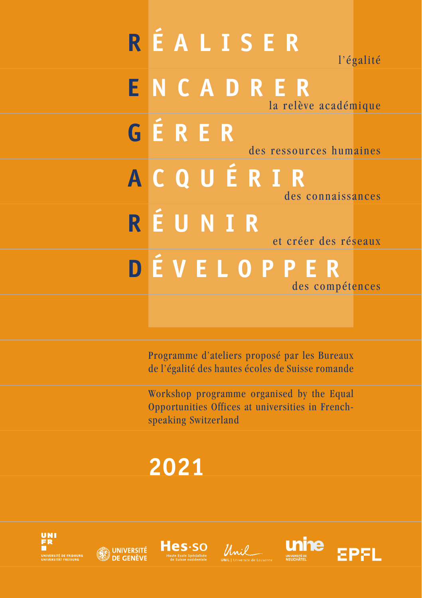# **R ÉALISER** l'égalité **E NCADRER** la relève académique **G ÉRER** des ressources humaines **A CQUÉRIR** des connaissances **R ÉUNIR** et créer des réseaux **D ÉVELOPPER** des compétences

Programme d'ateliers proposé par les Bureaux de l'égalité des hautes écoles de Suisse romande

Workshop programme organised by the Equal Opportunities Offices at universities in Frenchspeaking Switzerland

# **2021**









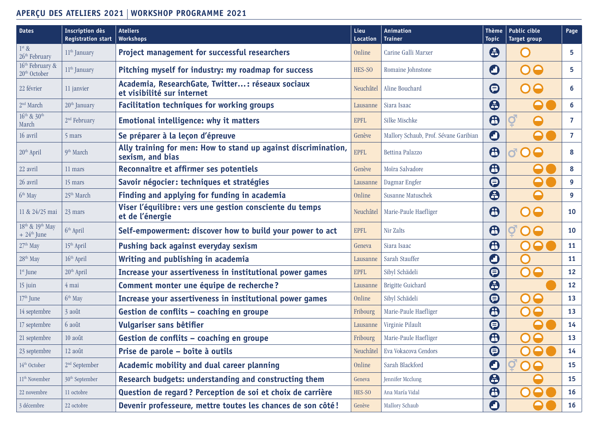## **APERÇU DES ATELIERS 2021 WORKSHOP PROGRAMME 2021**

| <b>Dates</b>                                                      | <b>Inscription dès</b><br><b>Registration start</b> | <b>Ateliers</b><br><b>Workshops</b>                                                | Lieu<br>Location | Animation<br><b>Trainer</b>           | <b>Thème</b><br><b>Topic</b> | <b>Public cible</b><br>Target group  | Page           |
|-------------------------------------------------------------------|-----------------------------------------------------|------------------------------------------------------------------------------------|------------------|---------------------------------------|------------------------------|--------------------------------------|----------------|
| $1st$ &<br>26 <sup>th</sup> February                              | 11 <sup>th</sup> January                            | <b>Project management for successful researchers</b>                               | Online           | Carine Galli Marxer                   | $\boldsymbol{\Theta}$        | $\bigcap$                            | 5              |
| 16 <sup>th</sup> February &<br>20 <sup>th</sup> October           | 11 <sup>th</sup> January                            | Pitching myself for industry: my roadmap for success                               | HES-SO           | Romaine Johnstone                     | O                            | 00                                   | 5              |
| 22 février                                                        | 11 janvier                                          | Academia, ResearchGate, Twitter: réseaux sociaux<br>et visibilité sur internet     | Neuchâtel        | Aline Bouchard                        | ⊜                            | OO                                   | 6              |
| 2 <sup>nd</sup> March                                             | 20 <sup>th</sup> January                            | <b>Facilitation techniques for working groups</b>                                  | Lausanne         | Siara Isaac                           | $\boldsymbol{\oplus}$        |                                      | 6              |
| $16^{th}$ & $30^{th}$<br>March                                    | 2 <sup>nd</sup> February                            | <b>Emotional intelligence: why it matters</b>                                      | <b>EPFL</b>      | Silke Mischke                         | $\bigoplus$                  | $\boldsymbol{Q}$<br>$\mathbf \Omega$ | 7              |
| 16 avril                                                          | 5 mars                                              | Se préparer à la leçon d'épreuve                                                   | Genève           | Mallory Schaub, Prof. Sévane Garibian | O                            | $\mathbf \Theta$                     | $\overline{7}$ |
| 20 <sup>th</sup> April                                            | 9 <sup>th</sup> March                               | Ally training for men: How to stand up against discrimination,<br>sexism, and bias | <b>EPFL</b>      | Bettina Palazzo                       | $\bigoplus$                  | <b>d O O</b>                         | 8              |
| 22 avril                                                          | 11 mars                                             | Reconnaître et affirmer ses potentiels                                             | Genève           | Moïra Salvadore                       | $\bigoplus$                  |                                      | 8              |
| 26 avril                                                          | 15 mars                                             | Savoir négocier: techniques et stratégies                                          | Lausanne         | Dagmar Engfer                         | $\bm\Theta$                  |                                      | 9              |
| 6 <sup>th</sup> May                                               | 25 <sup>th</sup> March                              | Finding and applying for funding in academia                                       | Online           | Susanne Matuschek                     | $\boldsymbol{\Theta}$        | $\color{red}\Theta$                  | 9              |
| 11 & 24/25 mai                                                    | 23 mars                                             | Viser l'équilibre: vers une gestion consciente du temps<br>et de l'énergie         | Neuchâtel        | Marie-Paule Haefliger                 | $\bm{\Theta}$                | OO                                   | 10             |
| 18 <sup>th</sup> & 19 <sup>th</sup> May<br>$+24^{\text{th}}$ June | $6th$ April                                         | Self-empowerment: discover how to build your power to act                          | <b>EPFL</b>      | Nir Zalts                             | $\bigoplus$                  | $\bullet$<br>$\Box$                  | 10             |
| 27 <sup>th</sup> May                                              | 15 <sup>th</sup> April                              | Pushing back against everyday sexism                                               | Geneva           | Siara Isaac                           | $\bm \Theta$                 | 80<br>$\mathbf O$                    | <b>11</b>      |
| 28 <sup>th</sup> May                                              | 16 <sup>th</sup> April                              | Writing and publishing in academia                                                 | Lausanne         | Sarah Stauffer                        | O                            |                                      | <b>11</b>      |
| 1 <sup>st</sup> June                                              | 20 <sup>th</sup> April                              | Increase your assertiveness in institutional power games                           | <b>EPFL</b>      | Sibyl Schädeli                        | $\bm\Theta$                  | 00                                   | 12             |
| 15 juin                                                           | 4 mai                                               | Comment monter une équipe de recherche?                                            | Lausanne         | Brigitte Guichard                     | $\boldsymbol{\Theta}$        |                                      | 12             |
| $17th$ June                                                       | 6 <sup>th</sup> May                                 | Increase your assertiveness in institutional power games                           | Online           | Sibyl Schädeli                        | $\bm\Theta$                  | $\bullet$<br>O                       | 13             |
| 14 septembre                                                      | 3 août                                              | Gestion de conflits - coaching en groupe                                           | Fribourg         | Marie-Paule Haefliger                 | $\bigoplus$                  | $\bigcap$<br>$\mathbf \Theta$        | 13             |
| 17 septembre                                                      | 6 août                                              | Vulgariser sans bêtifier                                                           | Lausanne         | Virginie Pilault                      | $\bm\Theta$                  |                                      | 14             |
| 21 septembre                                                      | 10 août                                             | Gestion de conflits - coaching en groupe                                           | Fribourg         | Marie-Paule Haefliger                 | $\bigoplus$                  | $\color{red}\Theta$<br>O             | 13             |
| 23 septembre                                                      | $12$ août                                           | Prise de parole – boîte à outils                                                   | Neuchâtel        | Eva Vokacova Cendors                  | ⊜                            | $\bullet$<br>$\bigcap$               | 14             |
| 14 <sup>th</sup> October                                          | $2nd$ September                                     | Academic mobility and dual career planning                                         | Online           | Sarah Blackford                       | $\mathbf O$                  | 00                                   | 15             |
| $11^{\rm th}$ November                                            | 30 <sup>th</sup> September                          | Research budgets: understanding and constructing them                              | Geneva           | Jennifer Mcclung                      | $\boldsymbol{\Theta}$        |                                      | 15             |
| 22 novembre                                                       | 11 octobre                                          | Question de regard? Perception de soi et choix de carrière                         | HES-SO           | Ana María Vidal                       | $\boldsymbol{\oplus}$        | O                                    | <b>16</b>      |
| 3 décembre                                                        | 22 octobre                                          | Devenir professeure, mettre toutes les chances de son côté!                        | Genève           | Mallory Schaub                        | O                            |                                      | <b>16</b>      |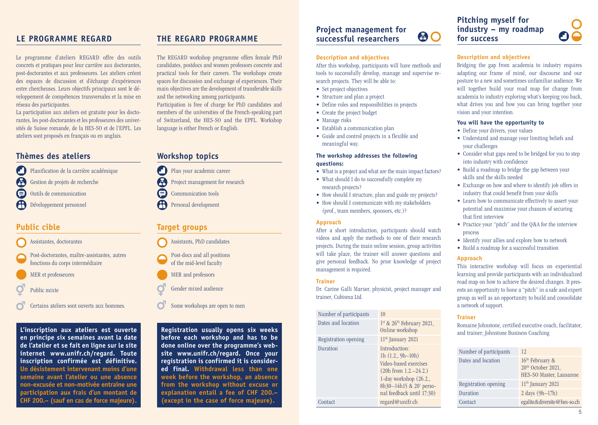Le programme d'ateliers REGARD offre des outils concrets et pratiques pour leur carrière aux doctorantes, post-doctorantes et aux professeures. Les ateliers créent des espaces de discussion et d'échange d'expériences entre chercheuses. Leurs objectifs principaux sont le développement de compétences transversales et la mise en réseau des participantes.

La participation aux ateliers est gratuite pour les doctorantes, les post-doctorantes et les professeures des universités de Suisse romande, de la HES-SO et de l'EPFL. Les ateliers sont proposés en français ou en anglais.

## **Thèmes des ateliers**

- Planification de la carrière académique A Gestion de projets de recherche  $\boldsymbol{\boldsymbol{\boldsymbol{\ominus}}}$
- Outils de communication
- Développement personnel

## **Public cible**

- Assistantes, doctorantes
- Post-doctorantes, maître-assistantes, autres fonctions du corps intermédiaire
- MER et professeures
- Public mixte
- Certains ateliers sont ouverts aux hommes.

**L'inscription aux ateliers est ouverte en principe six semaines avant la date de l'atelier et se fait en ligne sur le site internet www.unifr.ch/regard. Toute inscription confirmée est définitive. Un désistement intervenant moins d'une semaine avant l'atelier ou une absence non-excusée et non-motivée entraîne une participation aux frais d'un montant de CHF 200.– (sauf en cas de force majeure).**

## <span id="page-2-0"></span>**LE PROGRAMME REGARD THE REGARD PROGRAMME**

The REGARD workshop programme offers female PhD candidates, postdocs and women professors concrete and practical tools for their careers. The workshops create spaces for discussion and exchange of experiences. Their main objectives are the development of transferable skills and the networking among participants.

Participation is free of charge for PhD candidates and members of the universities of the French-speaking part of Switzerland, the HES-SO and the EPFL. Workshop language is either French or English.

## **Workshop topics**

- Plan your academic career
- Project management for research
- $\blacksquare$ Communication tools
- Personal development

## **Target groups**

- Assistants, PhD candidates
- Post-docs and all positions
- of the mid-level faculty
- MER and professors
- Gender mixed audience
- Some workshops are open to men

**Registration usually opens six weeks before each workshop and has to be done online over the programme's website www.unifr.ch/regard. Once your registration is confirmed it is considered final. Withdrawal less than one week before the workshop, an absence from the workshop without excuse or explanation entail a fee of CHF 200.– (except in the case of force majeure).** 

#### **Project management for**   $\bigcirc$ **successful researchers**

## **Description and objectives**

After this workshop, participants will have methods and tools to successfully develop, manage and supervise research projects. They will be able to:

- Set project objectives
- Structure and plan a project
- Define roles and responsibilities in projects
- Create the project budget • Manage risks
- 
- Establish a communication plan
- Guide and control projects in a flexible and meaningful way.

## **The workshop addresses the following questions:**

- What is a project and what are the main impact factors?
- What should I do to successfully complete my research projects?
- How should I structure, plan and guide my projects?
- How should I communicate with my stakeholders (prof., team members, sponsors, etc.)?

## **Approach**

After a short introduction, participants should watch videos and apply the methods to one of their research projects. During the main online session, group activities will take place, the trainer will answer questions and give personal feedback. No prior knowledge of project management is required.

## **Trainer**

Dr. Carine Galli Marxer, physicist, project manager and trainer, Cubisma Ltd.

| Number of participants | 10                                                                                                                                                                            |
|------------------------|-------------------------------------------------------------------------------------------------------------------------------------------------------------------------------|
| Dates and location     | $1st$ & $26th$ February 2021,<br>Online workshop                                                                                                                              |
| Registration opening   | $11th$ January 2021                                                                                                                                                           |
| Duration               | Introduction:<br>1h $(1.2., 9h-10h)$<br>Video-based exercises<br>$(20h from 1.2, -24.2.)$<br>1-day workshop $(26.2.,$<br>8h30-14h15 & 20' perso-<br>nal feedback until 17:30) |
| Contact                | regard@unifr.ch                                                                                                                                                               |

## **Pitching myself for industry – my roadmap for success**



## **Description and objectives**

Bridging the gap from academia to industry requires adapting our frame of mind, our discourse and our posture to a new and sometimes unfamiliar audience. We will together build your road map for change from academia to industry exploring what's keeping you back, what drives you and how you can bring together your vision and your intention.

## **You will have the opportunity to**

- Define your drivers, your values
- Understand and manage your limiting beliefs and your challenges
- Consider what gaps need to be bridged for you to step into industry with confidence
- Build a roadmap to bridge the gap between your skills and the skills needed
- Exchange on how and where to identify job offers in industry that could benefit from your skills
- Learn how to communicate effectively to assert your potential and maximise your chances of securing that first interview
- Practice your "pitch" and the Q&A for the interview process
- Identify your allies and explore how to network
- Build a roadmap for a successful transition

## **Approach**

This interactive workshop will focus on experiential learning and provide participants with an individualized road map on how to achieve the desired changes. It presents an opportunity to hone a "pitch" in a safe and expert group as well as an opportunity to build and consolidate a network of support.

## **Trainer**

Romaine Johnstone, certified executive coach, facilitator, and trainer; Johnstone Business Coaching

| Number of participants | 12                                                                                       |
|------------------------|------------------------------------------------------------------------------------------|
| Dates and location     | 16 <sup>th</sup> February &<br>20 <sup>th</sup> October 2021,<br>HES-SO Master, Lausanne |
| Registration opening   | 11 <sup>th</sup> January 2021                                                            |
| Duration               | $2 \text{ days } (9h-17h)$                                                               |
| Contact                | egalite&diversite@hes-so.ch                                                              |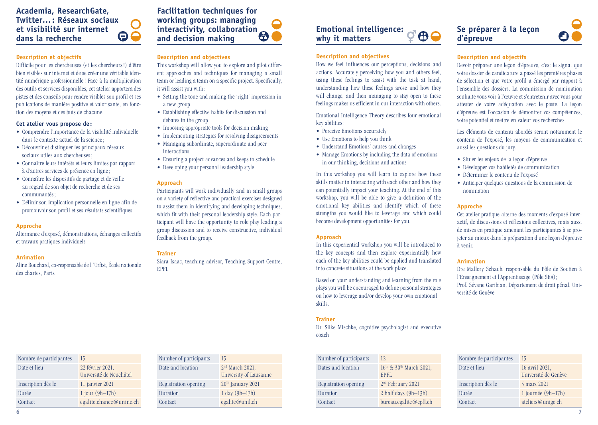## <span id="page-3-0"></span>**Academia, ResearchGate, Twitter…: Réseaux sociaux et visibilité sur internet**  60 **dans la recherche**

## **Description et objectifs**

Difficile pour les chercheuses (et les chercheurs !) d'être bien visibles sur internet et de se créer une véritable identité numérique professionnelle! Face à la multiplication des outils et services disponibles, cet atelier apportera des pistes et des conseils pour rendre visibles son profil et ses publications de manière positive et valorisante, en fonction des moyens et des buts de chacune.

## **Cet atelier vous propose de :**

- Comprendre l'importance de la visibilité individuelle dans le contexte actuel de la science ;
- Découvrir et distinguer les principaux réseaux sociaux utiles aux chercheuses ;
- Connaître leurs intérêts et leurs limites par rapport à d'autres services de présence en ligne ;
- Connaître les dispositifs de partage et de veille au regard de son objet de recherche et de ses communautés ;
- Définir son implication personnelle en ligne afin de promouvoir son profil et ses résultats scientifiques.

## **Approche**

Alternance d'exposé, démonstrations, échanges collectifs et travaux pratiques individuels

#### **Animation**

Aline Bouchard, co-responsable de l 'Urfist, École nationale des chartes, Paris

## **Facilitation techniques for working groups: managing interactivity, collaboration and decision making**

## **Description and objectives**

This workshop will allow you to explore and pilot different approaches and techniques for managing a small team or leading a team on a specific project. Specifically, it will assist you with:

- Setting the tone and making the 'right' impression in a new group
- Establishing effective habits for discussion and debates in the group
- Imposing appropriate tools for decision making
- Implementing strategies for resolving disagreements
- Managing subordinate, superordinate and peer interactions
- Ensuring a project advances and keeps to schedule
- Developing your personal leadership style

## **Approach**

Participants will work individually and in small groups on a variety of reflective and practical exercises designed to assist them in identifying and developing techniques, which fit with their personal leadership style. Each participant will have the opportunity to role play leading a group discussion and to receive constructive, individual feedback from the group.

## **Trainer**

Siara Isaac, teaching advisor, Teaching Support Centre, EPFL

Number of participants 15

Date and location 2<sup>nd</sup> March 2021

Registration opening 20<sup>th</sup> January 2021 Duration 1 day (9h–17h) Contact egalite@unil.ch

University of Lausanne

#### **Emotional intelligence:**  80 **why it matters**

## **Description and objectives**

How we feel influences our perceptions, decisions and actions. Accurately perceiving how you and others feel, using these feelings to assist with the task at hand, understanding how these feelings arose and how they will change, and then managing to stay open to these feelings makes us efficient in our interaction with others.

Emotional Intelligence Theory describes four emotional key abilities:

- Perceive Emotions accurately
- Use Emotions to help you think
- Understand Emotions' causes and changes
- Manage Emotions by including the data of emotions in our thinking, decisions and actions

In this workshop you will learn to explore how these skills matter in interacting with each other and how they can potentially impact your teaching. At the end of this workshop, you will be able to give a definition of the emotional key abilities and identify which of these strengths you would like to leverage and which could become development opportunities for you.

## **Approach**

In this experiential workshop you will be introduced to the key concepts and then explore experientially how each of the key abilities could be applied and translated into concrete situations at the work place.

Based on your understanding and learning from the role plays you will be encouraged to define personal strategies on how to leverage and/or develop your own emotional skills.

## **Trainer**

Dr. Silke Mischke, cognitive psychologist and executive coach

| Number of participants | 12                                            |
|------------------------|-----------------------------------------------|
| Dates and location     | $16th$ & 30 <sup>th</sup> March 2021,<br>EPFL |
| Registration opening   | 2 <sup>nd</sup> February 2021                 |
| Duration               | 2 half days $(9h-13h)$                        |
| Contact                | bureau.egalite@epfl.ch                        |

## **Se préparer à la leçon d'épreuve**



## **Description and objectifs**

Devoir préparer une leçon d'épreuve, c'est le signal que votre dossier de candidature a passé les premières phases de sélection et que votre profil a émergé par rapport à l'ensemble des dossiers. La commission de nomination souhaite vous voir à l'œuvre et s'entretenir avec vous pour attester de votre adéquation avec le poste. La leçon d'épreuve est l'occasion de démontrer vos compétences, votre potentiel et mettre en valeur vos recherches.

Les éléments de contenu abordés seront notamment le contenu de l'exposé, les moyens de communication et aussi les questions du jury.

- Situer les enjeux de la leçon d'épreuve
	- Développer vos habiletés de communication
	- Déterminer le contenu de l'exposé
- Anticiper quelques questions de la commission de nomination

### **Approche**

Cet atelier pratique alterne des moments d'exposé interactif, de discussions et réflexions collectives, mais aussi de mises en pratique amenant les participantes à se projeter au mieux dans la préparation d'une leçon d'épreuve à venir.

### **Animation**

Dre Mallory Schaub, responsable du Pôle de Soutien à l'Enseignement et l'Apprentissage (Pôle SEA); Prof. Sévane Garibian, Département de droit pénal, Université de Genève

| Nombre de participantes | 15                                     |
|-------------------------|----------------------------------------|
| Date et lieu            | 16 avril 2021,<br>Université de Genève |
| Inscription dès le      | 5 mars 2021                            |
| Durée                   | 1 journée $(9h-17h)$                   |
| Contact                 | ateliers@unige.ch                      |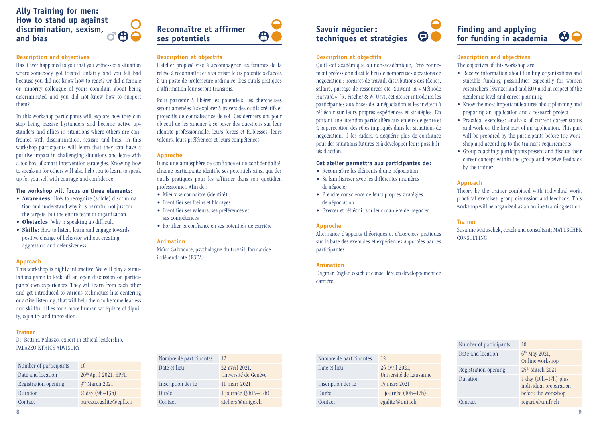<span id="page-4-0"></span>

## **Description and objectives**

Has it ever happened to you that you witnessed a situation where somebody got treated unfairly and you felt bad because you did not know how to react? Or did a female or minority colleague of yours complain about being discriminated and you did not know how to support them?

In this workshop participants will explore how they can stop being passive bystanders and become active upstanders and allies in situations where others are confronted with discrimination, sexism and bias. In this workshop participants will learn that they can have a positive impact in challenging situations and leave with a toolbox of smart intervention strategies. Knowing how to speak-up for others will also help you to learn to speak up for yourself with courage and confidence.

### **The workshop will focus on three elements:**

- **Awareness:** How to recognize (subtle) discrimination and understand why it is harmful not just for the targets, but the entire team or organization.
- **Obstacles:** Why is speaking up difficult.
- **Skills:** How to listen, learn and engage towards positive change of behavior without creating aggression and defensiveness.

#### **Approach**

This workshop is highly interactive. We will play a simulations game to kick off an open discussion on participants' own experiences. They will learn from each other and get introduced to various techniques like centering or active listening, that will help them to become fearless and skillful allies for a more human workplace of dignity, equality and innovation.

#### **Trainer**

Dr. Bettina Palazzo, expert in ethical leadership, PALAZZO ETHICS ADVISORY

| Number of participants | 16                                |
|------------------------|-----------------------------------|
| Date and location      | 20 <sup>th</sup> April 2021, EPFL |
| Registration opening   | 9 <sup>th</sup> March 2021        |
| Duration               | $\frac{1}{2}$ day (9h-13h)        |
| Contact                | bureau.egalite@epfl.ch            |

## $\bigoplus$ **ses potentiels**

## **Description et objectifs**

**Reconnaître et affirmer** 

L'atelier proposé vise à accompagner les femmes de la relève à reconnaître et à valoriser leurs potentiels d'accès à un poste de professeure ordinaire. Des outils pratiques d'affirmation leur seront transmis.

Pour parvenir à libérer les potentiels, les chercheuses seront amenées à s'explorer à travers des outils créatifs et projectifs de connaissance de soi. Ces derniers ont pour objectif de les amener à se poser des questions sur leur identité professionnelle, leurs forces et faiblesses, leurs valeurs, leurs préférences et leurs compétences.

#### **Approche**

Dans une atmosphère de confiance et de confidentialité, chaque participante identifie ses potentiels ainsi que des outils pratiques pour les affirmer dans son quotidien professionnel. Afin de:

- Mieux se connaître (identité)
- Identifier ses freins et blocages

Nombre de participantes 12

- Identifier ses valeurs, ses préférences et ses compétences
- Fortifier la confiance en ses potentiels de carrière

#### **Animation**

Moïra Salvadore, psychologue du travail, formatrice indépendante (FSEA)

## **Savoir négocier: techniques et stratégies**

## **Description et objectifs**

Qu'il soit académique ou non-académique, l'environnement professionnel est le lieu de nombreuses occasions de négociation : horaires de travail, distributions des tâches, salaire, partage de ressources etc. Suivant la « Méthode Harvard » (R. Fischer & W. Ury), cet atelier introduira les participantes aux bases de la négociation et les invitera à réfléchir sur leurs propres expériences et stratégies. En portant une attention particulière aux enjeux de genre et à la perception des rôles impliqués dans les situations de négociation, il les aidera à acquérir plus de confiance pour des situations futures et à développer leurs possibilités d'action.

### **Cet atelier permettra aux participantes de :**

- Reconnaître les éléments d'une négociation • Se familiariser avec les différentes manières
- de négocier
- Prendre conscience de leurs propres stratégies de négociation
- Exercer et réfléchir sur leur manière de négocier

#### **Approche**

Alternance d'apports théoriques et d'exercices pratiques sur la base des exemples et expériences apportées par les participantes.

## **Animation**

Dagmar Engfer, coach et conseillère en développement de carrière

 $\boldsymbol{\Theta}$   $\bullet$ 



## **Finding and applying for funding in academia**



## **Description and objectives**

The objectives of this workshop are:

- Receive information about funding organizations and suitable funding possibilities especially for women researchers (Switzerland and EU) and in respect of the academic level and career planning
- Know the most important features about planning and preparing an application and a research project
- Practical exercises: analysis of current career status and work on the first part of an application. This part will be prepared by the participants before the workshop and according to the trainer's requirements
- Group coaching: participants present and discuss their career concept within the group and receive feedback by the trainer

## **Approach**

Theory by the trainer combined with individual work, practical exercises, group discussion and feedback. This workshop will be organized as an online training session.

### **Trainer**

Susanne Matuschek, coach and consultant; MATUSCHEK **CONSULTING** 

| Number of participants | 10                                                                        |
|------------------------|---------------------------------------------------------------------------|
| Date and location      | $6th$ May 2021,<br>Online workshop                                        |
| Registration opening   | 25 <sup>th</sup> March 2021                                               |
| Duration               | $1$ day $(10h-17h)$ plus<br>individual preparation<br>before the workshop |
| Contact                | regard@unifr.ch                                                           |

| Nombre de participantes 12 |                                        |              | Nombre de par   |
|----------------------------|----------------------------------------|--------------|-----------------|
| Date et lieu               | 22 avril 2021,<br>Université de Genève | Date et lieu |                 |
| Inscription dès le         | 11 mars 2021                           |              | Inscription dès |
| Durée                      | 1 journée $(9h15-17h)$                 | Durée        |                 |
| Contact                    | ateliers@unige.ch                      | Contact      |                 |

| Nombre de participantes | 12                                       |
|-------------------------|------------------------------------------|
| Date et lieu            | 26 avril 2021,<br>Université de Lausanne |
| Inscription dès le      | 15 mars 2021                             |
| Durée                   | 1 journée $(10h-17h)$                    |
| Contact                 | egalite@unil.ch                          |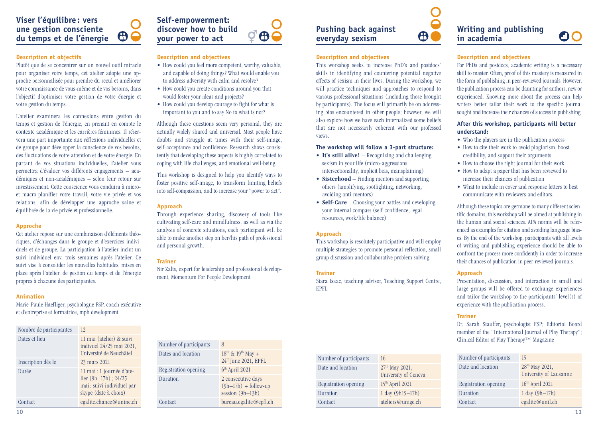## <span id="page-5-0"></span>**Viser l'équilibre : vers une gestion consciente du temps et de l'énergie**

## **Description et objectifs**

Plutôt que de se concentrer sur un nouvel outil miracle pour organiser votre temps, cet atelier adopte une approche personnalisée pour prendre du recul et améliorer votre connaissance de vous-même et de vos besoins, dans l'objectif d'optimiser votre gestion de votre énergie et votre gestion du temps.

80

L'atelier examinera les connexions entre gestion du temps et gestion de l'énergie, en prenant en compte le contexte académique et les carrières féminines. Il réservera une part importante aux réflexions individuelles et de groupe pour développer la conscience de vos besoins, des fluctuations de votre attention et de votre énergie. En partant de vos situations individuelles, l'atelier vous permettra d'évaluer vos différents engagements – académiques et non-académiques – selon leur retour sur investissement. Cette conscience vous conduira à microet macro-planifier votre travail, votre vie privée et vos relations, afin de développer une approche saine et équilibrée de la vie privée et professionnelle.

## **Approche**

Cet atelier repose sur une combinaison d'éléments théoriques, d'échanges dans le groupe et d'exercices individuels et de groupe. La participation à l'atelier inclut un suivi individuel env. trois semaines après l'atelier. Ce suivi vise à consolider les nouvelles habitudes, mises en place après l'atelier, de gestion du temps et de l'énergie propres à chacune des participantes.

### **Animation**

Marie-Paule Haefliger, psychologue FSP, coach exécutive et d'entreprise et formatrice, mph development

| Nombre de participantes | 12.                                                                                                        |
|-------------------------|------------------------------------------------------------------------------------------------------------|
| Dates et lieu           | 11 mai (atelier) & suivi<br>indivuel 24/25 mai 2021,<br>Université de Neuchâtel                            |
| Inscription dès le      | 23 mars 2021                                                                                               |
| Durée                   | 11 mai : 1 journée d'ate-<br>lier $(9h-17h)$ ; 24/25<br>mai : suivi individuel par<br>skype (date à choix) |
| Contact                 | egalite.chance@unine.ch                                                                                    |

## **Self-empowerment: discover how to build your power to act**



## **Description and objectives**

- How could you feel more competent, worthy, valuable, and capable of doing things? What would enable you to address adversity with calm and resolve?
- How could you create conditions around you that would foster your ideas and projects?
- How could you develop courage to fight for what is important to you and to say No to what is not?

Although these questions seem very personal, they are actually widely shared and universal. Most people have doubts and struggle at times with their self-image, self-acceptance and confidence. Research shows consistently that developing these aspects is highly correlated to coping with life challenges, and emotional well-being.

This workshop is designed to help you identify ways to foster positive self-image, to transform limiting beliefs into self-compassion, and to increase your "power to act".

### **Approach**

Through experience sharing, discovery of tools like cultivating self-care and mindfulness, as well as via the analysis of concrete situations, each participant will be able to make another step on her/his path of professional and personal growth.

## **Trainer**

Nir Zalts, expert for leadership and professional development, Momentum For People Development

| Number of participants | 8                                                                  |
|------------------------|--------------------------------------------------------------------|
| Dates and location     | $18^{th}$ & $19^{th}$ May +<br>24 <sup>th</sup> June 2021, EPFL    |
| Registration opening   | $6th$ April 2021                                                   |
| Duration               | 2 consecutive days<br>$(9h-17h) +$ follow-up<br>session $(9h-13h)$ |
| Contact                | bureau.egalite@epfl.ch                                             |

| Number of participants | 16                                                 |
|------------------------|----------------------------------------------------|
| Date and location      | 27 <sup>th</sup> May 2021,<br>University of Geneva |
| Registration opening   | 15 <sup>th</sup> April 2021                        |
| Duration               | $1 \text{ day } (9h15 - 17h)$                      |
| Contact                | ateliers@unige.ch                                  |

**Description and objectives**

**Pushing back against everyday sexism**

avoiding anti-mentors)

resources, work/life balance)

views.

**Approach**

**Trainer**

EPFL

This workshop seeks to increase PhD's and postdocs' skills in identifying and countering potential negative effects of sexism in their lives. During the workshop, we will practice techniques and approaches to respond to various professional situations (including those brought by participants). The focus will primarily be on addressing bias encountered in other people; however, we will also explore how we have each internalized some beliefs that are not necessarily coherent with our professed

**The workshop will follow a 3-part structure:** • It's still alive! – Recognizing and challenging sexism in your life (micro-aggressions, intersectionality, implicit bias, mansplaining) • **Sisterhood** – Finding mentors and supporting others (amplifying, spotlighting, networking,

• **Self-Care** – Choosing your battles and developing your internal compass (self-confidence, legal

This workshop is resolutely participative and will employ multiple strategies to promote personal reflection, small group discussion and collaborative problem solving.

Siara Isaac, teaching advisor, Teaching Support Centre,

## **Writing and publishing in academia**



## **Description and objectives**

For PhDs and postdocs, academic writing is a necessary skill to master. Often, proof of this mastery is measured in the form of publishing in peer-reviewed journals. However, the publication process can be daunting for authors, new or experienced. Knowing more about the process can help writers better tailor their work to the specific journal sought and increase their chances of success in publishing.

## **After this workshop, participants will better understand:**

- Who the players are in the publication process
- How to cite their work to avoid plagiarism, boost credibility, and support their arguments
- How to choose the right journal for their work
- How to adapt a paper that has been reviewed to increase their chances of publication
- What to include in cover and response letters to best communicate with reviewers and editors.

Although these topics are germane to many different scientific domains, this workshop will be aimed at publishing in the human and social sciences. APA norms will be referenced as examples for citation and avoiding language biases. By the end of the workshop, participants with all levels of writing and publishing experience should be able to confront the process more confidently in order to increase their chances of publication in peer-reviewed journals.

## **Approach**

Presentation, discussion, and interaction in small and large groups will be offered to exchange experiences and tailor the workshop to the participants' level(s) of experience with the publication process.

## **Trainer**

Dr. Sarah Stauffer, psychologist FSP; Editorial Board member of the "International Journal of Play Therapy"; Clinical Editor of Play Therapy™ Magazine

| Number of participants | 15                                                   |
|------------------------|------------------------------------------------------|
| Date and location      | 28 <sup>th</sup> May 2021,<br>University of Lausanne |
| Registration opening   | $16th$ April 2021                                    |
| Duration               | $1 \text{ day } (9h-17h)$                            |
| Contact                | egalite@unil.ch                                      |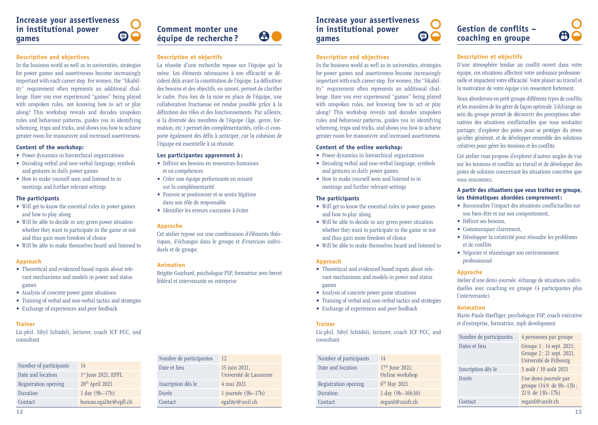#### <span id="page-6-0"></span>**Increase your assertiveness in institutional power**   $\Theta$ **games**



La réussite d'une recherche repose sur l'équipe qui la mène. Les éléments nécessaires à son efficacité se décident déjà avant la constitution de l'équipe. La définition des besoins et des objectifs, en amont, permet de clarifier le cadre. Puis lors de la mise en place de l'équipe, une collaboration fructueuse est rendue possible grâce à la définition des rôles et des fonctionnements. Par ailleurs, si la diversité des membres de l'équipe (âge, genre, formation, etc.) permet des complémentarités, celle-ci comporte également des défis à anticiper, car la cohésion de

**Description et objectifs** 

l'équipe est essentielle à sa réussite. **Les participantes apprennent à :**  • Définir ses besoins en ressources humaines

• Créer une équipe performante en misant

• Pouvoir se positionner et se sentir légitime

Cet atelier repose sur une combinaison d'éléments théoriques, d'échanges dans le groupe et d'exercices indivi-

Brigitte Guichard, psychologue FSP, formatrice avec brevet

et en compétences

**Approche**

**Animation**

duels et de groupe.

sur la complémentarité

dans son rôle de responsable • Identifier les erreurs courantes à éviter

fédéral et intervenante en entreprise

## **a**

## **Description and objectives**

In the business world as well as in universities, strategies for power games and assertiveness become increasingly important with each career step. For women, the "likability" requirement often represents an additional challenge. Have you ever experienced "games" being played with unspoken rules, not knowing how to act or play along? This workshop reveals and decodes unspoken rules and behaviour patterns, guides you in identifying scheming, traps and tricks, and shows you how to achieve greater room for manoeuvre and increased assertiveness.

#### **Content of the workshop:**

- Power dynamics in hierarchical organizations
- Decoding verbal and non-verbal language, symbols and gestures in daily power games
- How to make yourself seen and listened to in meetings and further relevant settings

## **The participants**

- Will get to know the essential rules in power games and how to play along
- Will be able to decide in any given power situation whether they want to participate in the game or not and thus gain more freedom of choice
- Will be able to make themselves heard and listened to

## **Approach**

- Theoretical and evidenced based inputs about relevant mechanisms and models in power and status games
- Analysis of concrete power game situations
- Training of verbal and non-verbal tactics and strategies
- Exchange of experiences and peer feedback

## **Trainer**

Lic.phil. Sibyl Schädeli, lecturer, coach ICF PCC, and consultant

| Number of participants | 14                          |
|------------------------|-----------------------------|
| Date and location      | $1st$ June 2021, EPFL       |
| Registration opening   | 20 <sup>th</sup> April 2021 |
| Duration               | $1 \text{ day } (9h-17h)$   |
| Contact                | bureau.egalite@epfl.ch      |

## Nombre de participantes 12 Date et lieu 15 juin 2021 Université de Lausanne Inscription dès le 4 mai 2021 Durée 1 journée (9h–17h) Contact egalite@unil.ch

## **Increase your assertiveness in institutional power games**

## **Description and objectives**

In the business world as well as in universities, strategies for power games and assertiveness become increasingly important with each career step. For women, the "likability" requirement often represents an additional challenge. Have you ever experienced "games" being played with unspoken rules, not knowing how to act or play along? This workshop reveals and decodes unspoken rules and behaviour patterns, guides you in identifying scheming, traps and tricks, and shows you how to achieve greater room for manoeuvre and increased assertiveness.

 $\boldsymbol{\Theta}$ 

#### **Content of the online workshop:**

- Power dynamics in hierarchical organizations
- Decoding verbal and non-verbal language, symbols and gestures in daily power games
- How to make yourself seen and listened to in meetings and further relevant settings

## **The participants**

- Will get to know the essential rules in power games and how to play along
- Will be able to decide in any given power situation whether they want to participate in the game or not and thus gain more freedom of choice
- Will be able to make themselves heard and listened to

#### **Approach**

- Theoretical and evidenced based inputs about relevant mechanisms and models in power and status games
- Analysis of concrete power game situations
- Training of verbal and non-verbal tactics and strategies
- Exchange of experiences and peer feedback

#### **Trainer**

Lic.phil. Sibyl Schädeli, lecturer, coach ICF PCC, and consultant

| Number of participants | 14                                   |
|------------------------|--------------------------------------|
| Date and location      | $17th$ June 2021;<br>Online workshop |
| Registration opening   | 6 <sup>th</sup> May 2021             |
| Duration               | 1 day (9h-16h30)                     |
| Contact                | regard@unifr.ch                      |

## **Gestion de conflits – coaching en groupe**



## **Description et objectifs**

D'une atmosphère tendue au conflit ouvert dans votre équipe, ces situations affectent votre ambiance professionnelle et impactent votre efficacité. Votre plaisir au travail et la motivation de votre équipe s'en ressentent fortement.

Nous aborderons en petit groupe différents types de conflits et les manières de les gérer de façon optimale. L'échange au sein du groupe permet de découvrir des perceptions alternatives des situations conflictuelles que vous souhaitez partager, d'explorer des pistes pour se protéger du stress qu'elles génèrent, et de développer ensemble des solutions créatives pour gérer les tensions et les conflits.

Cet atelier vous propose d'explorer d'autres angles de vue sur les tensions et conflits au travail et de développer des pistes de solution concernant les situations concrètes que vous rencontrez.

## **A partir des situations que vous traitez en groupe, les thématiques abordées comprennent:**

- Reconnaître l'impact des situations conflictuelles sur son bien-être et sur son comportement,
- Définir ses besoins,
- Communiquer clairement,
- Développer la créativité pour résoudre les problèmes et de conflits
- Négocier et réaménager son environnement professionnel

## **Approche**

Atelier d'une demi-journée: échange de situations individuelles avec coaching en groupe (4 participantes plus l'intervenante).

### **Animation**

Marie-Paule Haefliger, psychologue FSP, coach exécutive et d'entreprise, formatrice, mph development

| Nombre de participantes | 4 personnes par groupe                                                         |
|-------------------------|--------------------------------------------------------------------------------|
| Dates et lieu           | Groupe 1: 14 sept. 2021;<br>Groupe 2: 21 sept. 2021,<br>Université de Fribourg |
| Inscription dès le      | 3 août / 10 août 2021                                                          |
| Durée                   | Une demi-journée par<br>groupe (14.9. de 9h-13h;<br>21.9. de 13h-17h)          |
| Contact                 | regard@unifr.ch                                                                |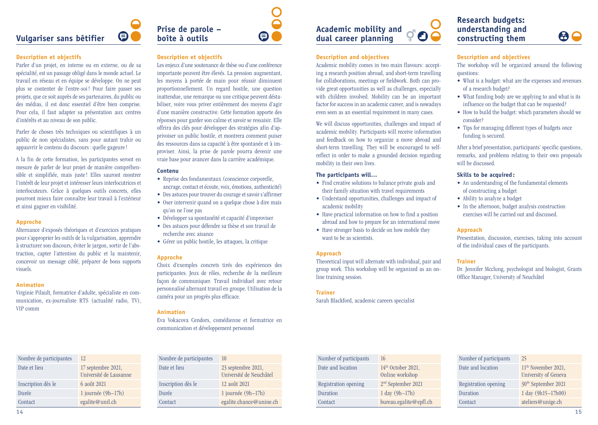## <span id="page-7-0"></span>**Vulgariser sans bêtifier**

## **Description et objectifs**

Parler d'un projet, en interne ou en externe, ou de sa spécialité, est un passage obligé dans le monde actuel. Le travail en réseau et en équipe se développe. On ne peut plus se contenter de l'entre-soi ! Pour faire passer ses projets, que ce soit auprès de ses partenaires, du public ou des médias, il est donc essentiel d'être bien comprise. Pour cela, il faut adapter sa présentation aux centres d'intérêts et au niveau de son public.

 $\boldsymbol{\Theta}$ 

Parler de choses très techniques ou scientifiques à un public de non spécialistes, sans pour autant trahir ou appauvrir le contenu du discours : quelle gageure!

A la fin de cette formation, les participantes seront en mesure de parler de leur projet de manière compréhensible et simplifiée, mais juste ! Elles sauront montrer l'intérêt de leur projet et intéresser leurs interlocutrices et interlocuteurs. Grâce à quelques outils concrets, elles pourront mieux faire connaître leur travail à l'extérieur et ainsi gagner en visibilité.

## **Approche**

Alternance d'exposés théoriques et d'exercices pratiques pour s'approprier les outils de la vulgarisation, apprendre à structurer son discours, éviter le jargon, sortir de l'abstraction, capter l'attention du public et la maintenir, concevoir un message ciblé, préparer de bons supports visuels.

#### **Animation**

Virginie Pilault, formatrice d'adulte, spécialiste en communication, ex-journaliste RTS (actualité radio, TV), VIP comm

| Nombre de participantes | 12                                           |
|-------------------------|----------------------------------------------|
| Date et lieu            | 17 septembre 2021,<br>Université de Lausanne |
| Inscription dès le      | 6 août 2021                                  |
| Durée                   | 1 journée $(9h-17h)$                         |
| Contact                 | egalite@unil.ch                              |

⊜

## **Description et objectifs**

**Prise de parole – boîte à outils**

Les enjeux d'une soutenance de thèse ou d'une conférence importante peuvent être élevés. La pression augmentant, les moyens à portée de main pour réussir diminuent proportionnellement. Un regard hostile, une question inattendue, une remarque ou une critique peuvent déstabiliser, voire vous priver entièrement des moyens d'agir d'une manière constructive. Cette formation apporte des réponses pour garder son calme et savoir se ressaisir. Elle offrira des clés pour développer des stratégies afin d'apprivoiser un public hostile, et montrera comment puiser des ressources dans sa capacité à être spontanée et à improviser. Ainsi, la prise de parole pourra devenir une vraie base pour avancer dans la carrière académique.

## **Contenu**

- Reprise des fondamentaux (conscience corporelle, ancrage, contact et écoute, voix, émotions, authenticité)
- Des astuces pour trouver du courage et savoir s'affirmer • Oser intervenir quand on a quelque chose à dire mais qu'on ne l'ose pas
- Développer sa spontanéité et capacité d'improviser
- Des astuces pour défendre sa thèse et son travail de recherche avec aisance
- Gérer un public hostile, les attaques, la critique

## **Approche**

Choix d'exemples concrets tirés des expériences des participantes. Jeux de rôles, recherche de la meilleure façon de communiquer. Travail individuel avec retour personnalisé alternant travail en groupe. Utilisation de la caméra pour un progrès plus efficace.

## **Animation**

Eva Vokacova Cendors, comédienne et formatrice en communication et développement personnel

| Nombre de participantes | 10                                            |
|-------------------------|-----------------------------------------------|
| Date et lieu            | 23 septembre 2021,<br>Université de Neuchâtel |
| Inscription dès le      | 12 août 2021                                  |
| Durée                   | 1 journée $(9h-17h)$                          |
| Contact                 | egalite.chance@unine.ch                       |

## **Description and objectives**

Academic mobility comes in two main flavours: accepting a research position abroad, and short-term travelling for collaborations, meetings or fieldwork. Both can provide great opportunities as well as challenges, especially with children involved. Mobility can be an important factor for success in an academic career, and is nowadays even seen as an essential requirement in many cases.

We will discuss opportunities, challenges and impact of academic mobility. Participants will receive information and feedback on how to organize a move abroad and short-term travelling. They will be encouraged to selfreflect in order to make a grounded decision regarding mobility in their own lives.

## **The participants will…**

- Find creative solutions to balance private goals and their family situation with travel requirements
- Understand opportunities, challenges and impact of academic mobility
- Have practical information on how to find a position abroad and how to prepare for an international move
- Have stronger basis to decide on how mobile they want to be as scientists.

#### **Approach**

Theoretical input will alternate with individual, pair and group work. This workshop will be organized as an online training session.

#### **Trainer**

Sarah Blackford, academic careers specialist

## **Research budgets: understanding and constructing them**



## **Description and objectives**

The workshop will be organized around the following questions:

- What is a budget: what are the expenses and revenues of a research budget?
- What funding body are we applying to and what is its influence on the budget that can be requested?
- How to build the budget: which parameters should we consider?
- Tips for managing different types of budgets once funding is secured.

After a brief presentation, participants' specific questions, remarks, and problems relating to their own proposals will be discussed.

## **Skills to be acquired :**

- An understanding of the fundamental elements of constructing a budget
- Ability to analyze a budget
- In the afternoon, budget analysis construction exercises will be carried out and discussed.

### **Approach**

Presentation, discussion, exercises, taking into account of the individual cases of the participants.

#### **Trainer**

Dr. Jennifer Mcclung, psychologist and biologist, Grants Office Manager, University of Neuchâtel

| Number of participants | 16                                      |
|------------------------|-----------------------------------------|
| Date and location      | $14th$ October 2021,<br>Online workshop |
| Registration opening   | 2 <sup>nd</sup> September 2021          |
| Duration               | $1 \text{ day } (9h-17h)$               |
| Contact                | bureau.egalite@epfl.ch                  |

| Number of participants | 25                                                      |
|------------------------|---------------------------------------------------------|
| Date and location      | 11 <sup>th</sup> November 2021,<br>University of Geneva |
| Registration opening   | 30 <sup>th</sup> September 2021                         |
| Duration               | 1 day (9h15-17h00)                                      |
| Contact                | ateliers@unige.ch                                       |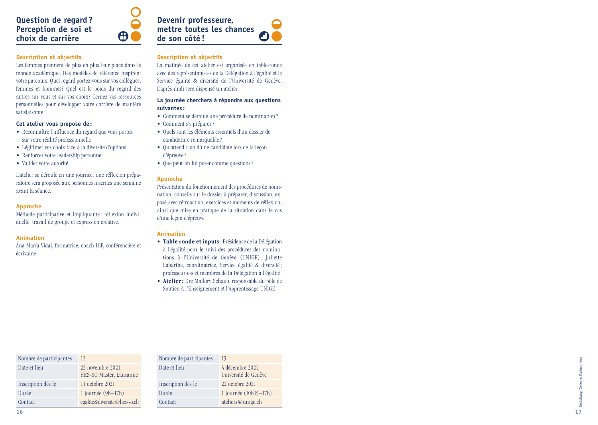## <span id="page-8-0"></span>**Question de regard ? Perception de soi et choix de carrière**

## **Description et objectifs**

Les femmes prennent de plus en plus leur place dans le monde académique. Des modèles de référence inspirent votre parcours. Quel regard portez-vous sur vos collègues, femmes et hommes? Quel est le poids du regard des autres sur vous et sur vos choix? Cernez vos ressources personnelles pour développer votre carrière de manière satisfaisante.

#### **Cet atelier vous propose de :**

- Reconnaître l'influence du regard que vous portez sur votre réalité professionnelle
- Légitimer vos choix face à la diversité d'options Renforcer votre leadership personnel Valider votre autorité
- 
- 

L'atelier se déroule en une journée, une réflexion prépa ratoire sera proposée aux personnes inscrites une semaine avant la séance.

## **Approche**

Méthode participative et impliquante : réflexion indivi duelle, travail de groupe et expression créative.

## **Animation**

Ana María Vidal, formatrice, coach ICF, conférencière et écrivaine

## **Description et objectifs**

**de son côté !**

 $\bigoplus$ 

**Devenir professeure, mettre toutes les chances** 

La matinée de cet atelier est organisée en table-ronde avec des représentant·e·s de la Délégation à l'égalité et le Service égalité & diversité de l'Université de Genève. L'après-midi sera dispensé un atelier.

## **La journée cherchera à répondre aux questions suivantes :**

- Comment se déroule une procédure de nomination ? Comment s'y préparer ? Quels sont les éléments essentiels d'un dossier de
- 
- candidature remarquable?
- Qu'attend-t-on d'une candidate lors de la leçon d'épreuve?
- Que peut-on lui poser comme questions ?

## **Approche**

Présentation du fonctionnement des procédures de nomi nation, conseils sur le dossier à préparer, discussion, ex posé avec rétroaction, exercices et moments de réflexion, ainsi que mise en pratique de la situation dans le cas d'une leçon d'épreuve.

## **Animation**

- **Table ronde et inputs**: Présidence de la Délégation à l'égalité pour le suivi des procédures des nomina tions à l'Université de Genève (UNIGE) ; Juliette Labarthe, coordinatrice, Service égalité & diversité; professeur·e·s et membres de la Délégation à l'égalité
- **Atelier :** Dre Mallory Schaub, responsable du pôle de Soutien à l'Enseignement et l'Apprentissage UNIGE

Université de Genève

1 journée (10h15–17h) ateliers@unige.ch

| Nombre de participantes | 12                                           | Nombre de participantes | 15                                     |
|-------------------------|----------------------------------------------|-------------------------|----------------------------------------|
| Date et lieu            | 22 novembre 2021,<br>HES-SO Master, Lausanne | Date et lieu            | 3 décembre 2021.<br>Université de Genè |
| Inscription dès le      | 11 octobre 2021                              | Inscription dès le      | 22 octobre 2021                        |
| Durée                   | 1 journée $(9h-17h)$                         | Durée                   | 1 journée $(10h15 -$                   |
| Contact                 | egalite&diversite@hes-so.ch                  | Contact                 | ateliers@unige.ch                      |

| ţ            |
|--------------|
| ಳ            |
| í.<br>٠<br>t |
| ׇ֠           |
| Î            |